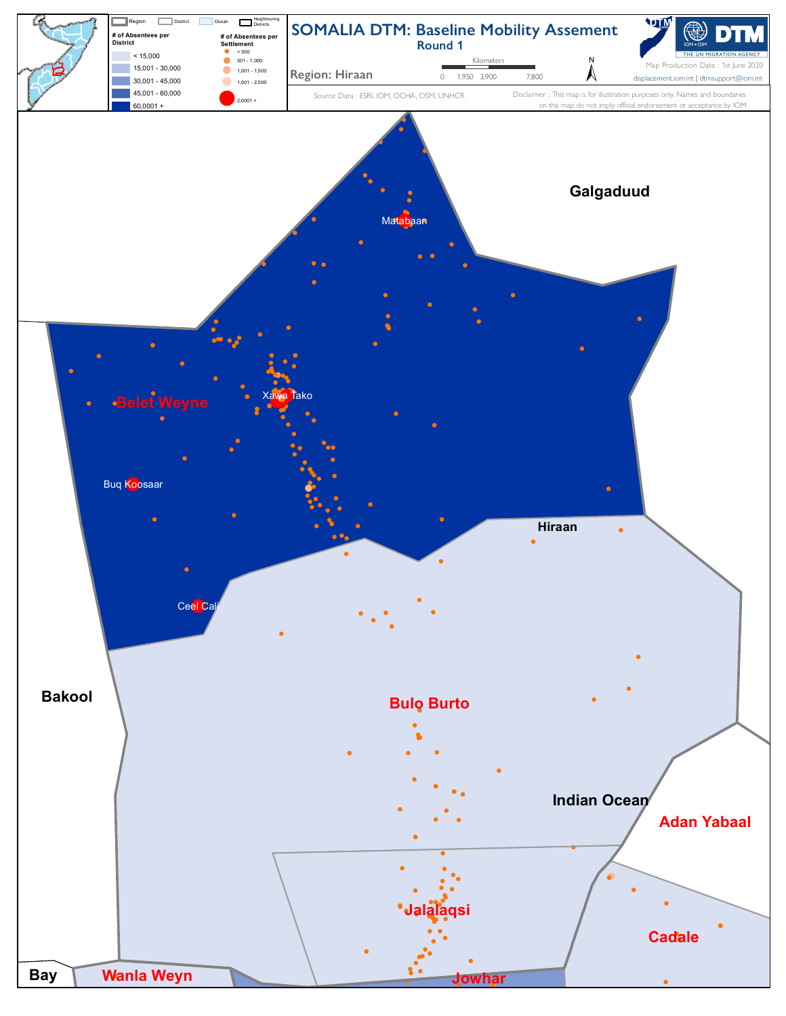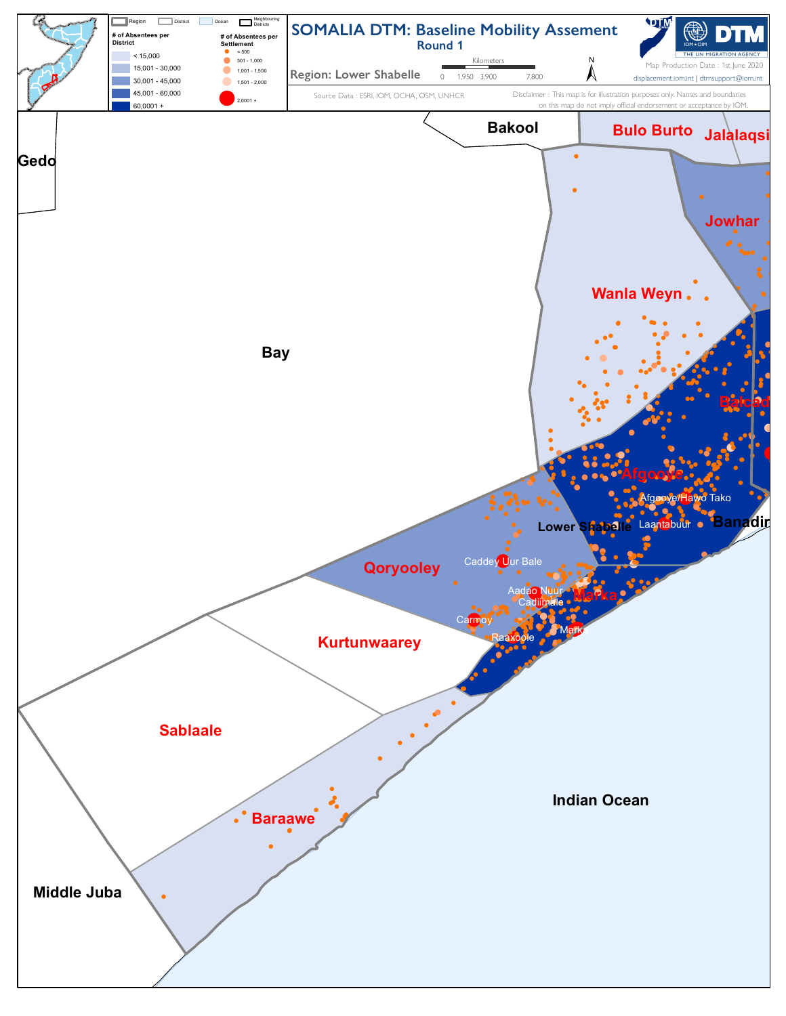